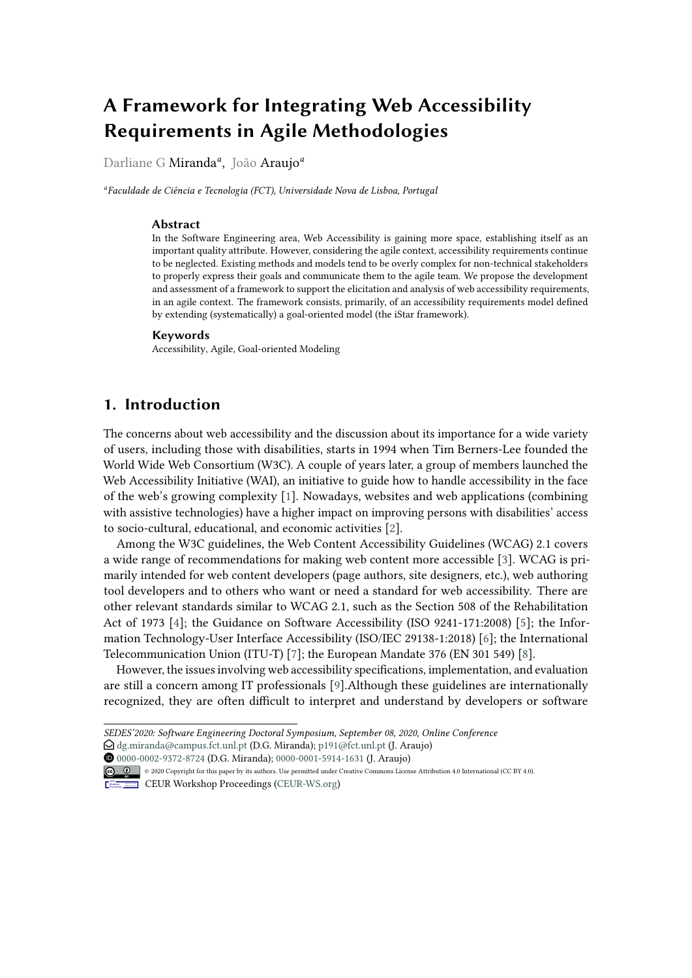# **A Framework for Integrating Web Accessibility Requirements in Agile Methodologies**

Darliane G Miranda*<sup>a</sup>* , João Araujo*<sup>a</sup>*

*a Faculdade de Ciência e Tecnologia (FCT), Universidade Nova de Lisboa, Portugal*

#### **Abstract**

In the Software Engineering area, Web Accessibility is gaining more space, establishing itself as an important quality attribute. However, considering the agile context, accessibility requirements continue to be neglected. Existing methods and models tend to be overly complex for non-technical stakeholders to properly express their goals and communicate them to the agile team. We propose the development and assessment of a framework to support the elicitation and analysis of web accessibility requirements, in an agile context. The framework consists, primarily, of an accessibility requirements model defined by extending (systematically) a goal-oriented model (the iStar framework).

#### **Keywords**

Accessibility, Agile, Goal-oriented Modeling

## **1. Introduction**

The concerns about web accessibility and the discussion about its importance for a wide variety of users, including those with disabilities, starts in 1994 when Tim Berners-Lee founded the World Wide Web Consortium (W3C). A couple of years later, a group of members launched the Web Accessibility Initiative (WAI), an initiative to guide how to handle accessibility in the face of the web's growing complexity [\[1\]](#page-5-0). Nowadays, websites and web applications (combining with assistive technologies) have a higher impact on improving persons with disabilities' access to socio-cultural, educational, and economic activities [\[2\]](#page-5-1).

Among the W3C guidelines, the Web Content Accessibility Guidelines (WCAG) 2.1 covers a wide range of recommendations for making web content more accessible [\[3\]](#page-5-2). WCAG is primarily intended for web content developers (page authors, site designers, etc.), web authoring tool developers and to others who want or need a standard for web accessibility. There are other relevant standards similar to WCAG 2.1, such as the Section 508 of the Rehabilitation Act of 1973 [\[4\]](#page-5-3); the Guidance on Software Accessibility (ISO 9241-171:2008) [\[5\]](#page-5-4); the Information Technology-User Interface Accessibility (ISO/IEC 29138-1:2018) [\[6\]](#page-6-0); the International Telecommunication Union (ITU-T) [\[7\]](#page-6-1); the European Mandate 376 (EN 301 549) [\[8\]](#page-6-2).

However, the issues involving web accessibility specifications, implementation, and evaluation are still a concern among IT professionals [\[9\]](#page-6-3).Although these guidelines are internationally recognized, they are often difficult to interpret and understand by developers or software

 [0000-0002-9372-8724](https://orcid.org/0000-0002-9372-8724) (D.G. Miranda); [0000-0001-5914-1631](https://orcid.org/0000-0001-5914-1631) (J. Araujo) © 2020 Copyright for this paper by its authors. Use permitted under Creative Commons License Attribution 4.0 International (CC BY 4.0).



CEUR Workshop [Proceedings](http://ceur-ws.org) [\(CEUR-WS.org\)](http://ceur-ws.org)

*SEDES'2020: Software Engineering Doctoral Symposium, September 08, 2020, Online Conference*

 $\bigcirc$  [dg.miranda@campus.fct.unl.pt](mailto:dg.miranda@campus.fct.unl.pt) (D.G. Miranda); [p191@fct.unl.pt](mailto:p191@fct.unl.pt) (J. Araujo)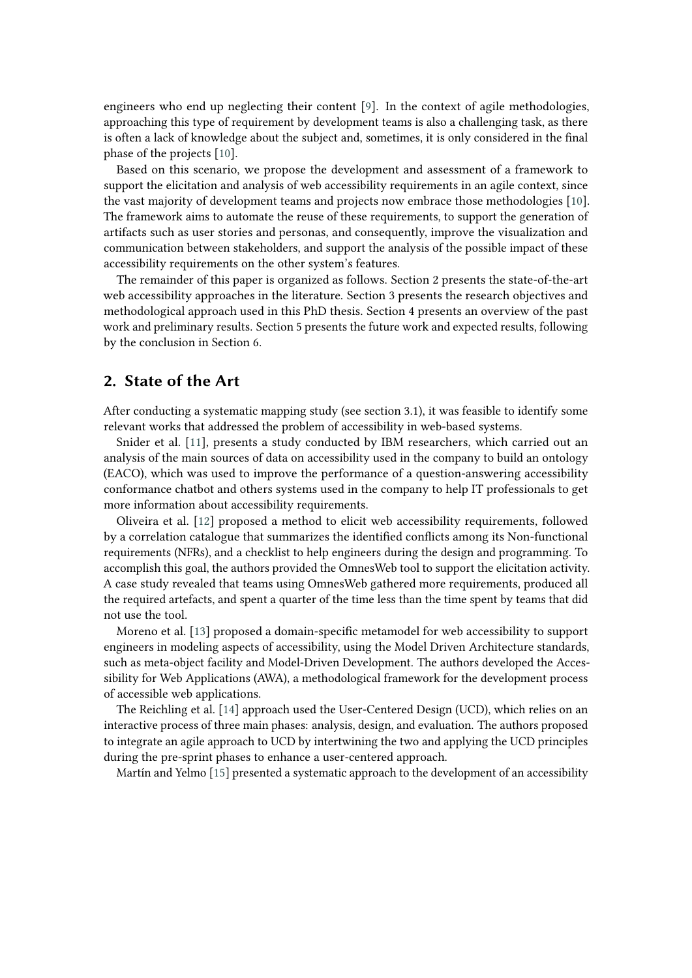engineers who end up neglecting their content [\[9\]](#page-6-3). In the context of agile methodologies, approaching this type of requirement by development teams is also a challenging task, as there is often a lack of knowledge about the subject and, sometimes, it is only considered in the final phase of the projects [\[10\]](#page-6-4).

Based on this scenario, we propose the development and assessment of a framework to support the elicitation and analysis of web accessibility requirements in an agile context, since the vast majority of development teams and projects now embrace those methodologies [\[10\]](#page-6-4). The framework aims to automate the reuse of these requirements, to support the generation of artifacts such as user stories and personas, and consequently, improve the visualization and communication between stakeholders, and support the analysis of the possible impact of these accessibility requirements on the other system's features.

The remainder of this paper is organized as follows. Section 2 presents the state-of-the-art web accessibility approaches in the literature. Section 3 presents the research objectives and methodological approach used in this PhD thesis. Section 4 presents an overview of the past work and preliminary results. Section 5 presents the future work and expected results, following by the conclusion in Section 6.

#### **2. State of the Art**

After conducting a systematic mapping study (see section 3.1), it was feasible to identify some relevant works that addressed the problem of accessibility in web-based systems.

Snider et al. [\[11\]](#page-6-5), presents a study conducted by IBM researchers, which carried out an analysis of the main sources of data on accessibility used in the company to build an ontology (EACO), which was used to improve the performance of a question-answering accessibility conformance chatbot and others systems used in the company to help IT professionals to get more information about accessibility requirements.

Oliveira et al. [\[12\]](#page-6-6) proposed a method to elicit web accessibility requirements, followed by a correlation catalogue that summarizes the identified conflicts among its Non-functional requirements (NFRs), and a checklist to help engineers during the design and programming. To accomplish this goal, the authors provided the OmnesWeb tool to support the elicitation activity. A case study revealed that teams using OmnesWeb gathered more requirements, produced all the required artefacts, and spent a quarter of the time less than the time spent by teams that did not use the tool.

Moreno et al. [\[13\]](#page-6-7) proposed a domain-specific metamodel for web accessibility to support engineers in modeling aspects of accessibility, using the Model Driven Architecture standards, such as meta-object facility and Model-Driven Development. The authors developed the Accessibility for Web Applications (AWA), a methodological framework for the development process of accessible web applications.

The Reichling et al. [\[14\]](#page-6-8) approach used the User-Centered Design (UCD), which relies on an interactive process of three main phases: analysis, design, and evaluation. The authors proposed to integrate an agile approach to UCD by intertwining the two and applying the UCD principles during the pre-sprint phases to enhance a user-centered approach.

Martín and Yelmo [\[15\]](#page-6-9) presented a systematic approach to the development of an accessibility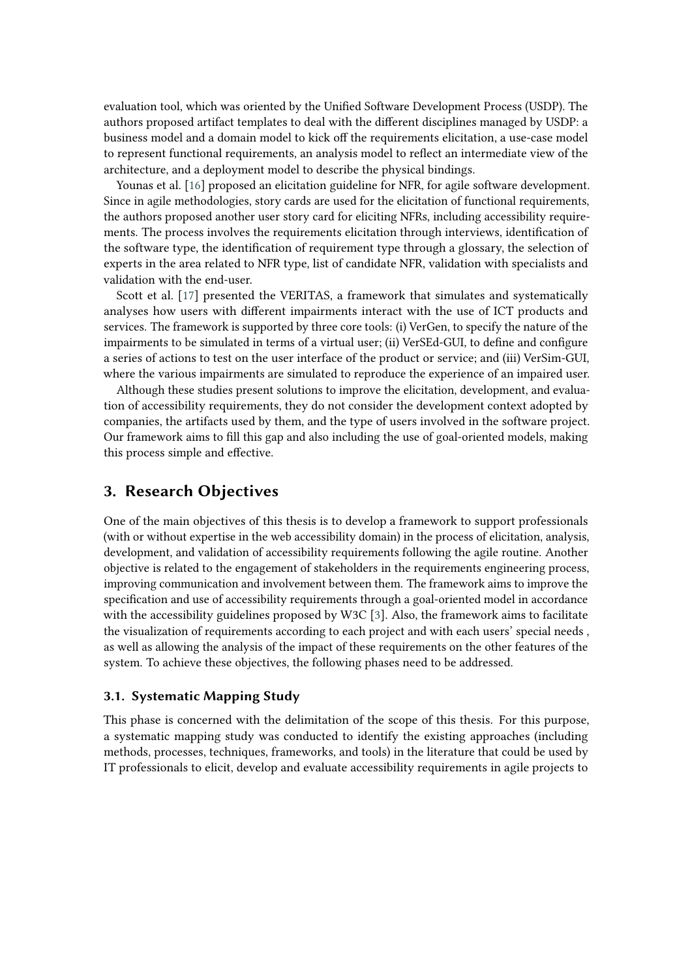evaluation tool, which was oriented by the Unified Software Development Process (USDP). The authors proposed artifact templates to deal with the different disciplines managed by USDP: a business model and a domain model to kick off the requirements elicitation, a use-case model to represent functional requirements, an analysis model to reflect an intermediate view of the architecture, and a deployment model to describe the physical bindings.

Younas et al. [\[16\]](#page-6-10) proposed an elicitation guideline for NFR, for agile software development. Since in agile methodologies, story cards are used for the elicitation of functional requirements, the authors proposed another user story card for eliciting NFRs, including accessibility requirements. The process involves the requirements elicitation through interviews, identification of the software type, the identification of requirement type through a glossary, the selection of experts in the area related to NFR type, list of candidate NFR, validation with specialists and validation with the end-user.

Scott et al. [\[17\]](#page-6-11) presented the VERITAS, a framework that simulates and systematically analyses how users with different impairments interact with the use of ICT products and services. The framework is supported by three core tools: (i) VerGen, to specify the nature of the impairments to be simulated in terms of a virtual user; (ii) VerSEd-GUI, to define and configure a series of actions to test on the user interface of the product or service; and (iii) VerSim-GUI, where the various impairments are simulated to reproduce the experience of an impaired user.

Although these studies present solutions to improve the elicitation, development, and evaluation of accessibility requirements, they do not consider the development context adopted by companies, the artifacts used by them, and the type of users involved in the software project. Our framework aims to fill this gap and also including the use of goal-oriented models, making this process simple and effective.

## **3. Research Objectives**

One of the main objectives of this thesis is to develop a framework to support professionals (with or without expertise in the web accessibility domain) in the process of elicitation, analysis, development, and validation of accessibility requirements following the agile routine. Another objective is related to the engagement of stakeholders in the requirements engineering process, improving communication and involvement between them. The framework aims to improve the specification and use of accessibility requirements through a goal-oriented model in accordance with the accessibility guidelines proposed by W3C [\[3\]](#page-5-2). Also, the framework aims to facilitate the visualization of requirements according to each project and with each users' special needs , as well as allowing the analysis of the impact of these requirements on the other features of the system. To achieve these objectives, the following phases need to be addressed.

#### **3.1. Systematic Mapping Study**

This phase is concerned with the delimitation of the scope of this thesis. For this purpose, a systematic mapping study was conducted to identify the existing approaches (including methods, processes, techniques, frameworks, and tools) in the literature that could be used by IT professionals to elicit, develop and evaluate accessibility requirements in agile projects to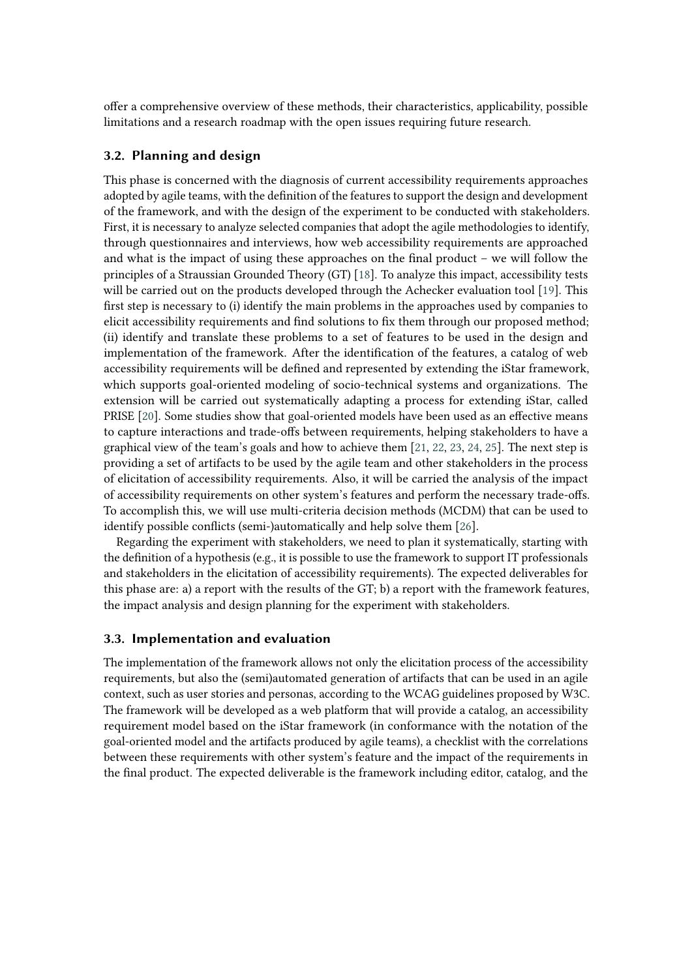offer a comprehensive overview of these methods, their characteristics, applicability, possible limitations and a research roadmap with the open issues requiring future research.

#### **3.2. Planning and design**

This phase is concerned with the diagnosis of current accessibility requirements approaches adopted by agile teams, with the definition of the features to support the design and development of the framework, and with the design of the experiment to be conducted with stakeholders. First, it is necessary to analyze selected companies that adopt the agile methodologies to identify, through questionnaires and interviews, how web accessibility requirements are approached and what is the impact of using these approaches on the final product – we will follow the principles of a Straussian Grounded Theory (GT) [\[18\]](#page-6-12). To analyze this impact, accessibility tests will be carried out on the products developed through the Achecker evaluation tool [\[19\]](#page-6-13). This first step is necessary to (i) identify the main problems in the approaches used by companies to elicit accessibility requirements and find solutions to fix them through our proposed method; (ii) identify and translate these problems to a set of features to be used in the design and implementation of the framework. After the identification of the features, a catalog of web accessibility requirements will be defined and represented by extending the iStar framework, which supports goal-oriented modeling of socio-technical systems and organizations. The extension will be carried out systematically adapting a process for extending iStar, called PRISE [\[20\]](#page-6-14). Some studies show that goal-oriented models have been used as an effective means to capture interactions and trade-offs between requirements, helping stakeholders to have a graphical view of the team's goals and how to achieve them [\[21,](#page-6-15) [22,](#page-6-16) [23,](#page-7-0) [24,](#page-7-1) [25\]](#page-7-2). The next step is providing a set of artifacts to be used by the agile team and other stakeholders in the process of elicitation of accessibility requirements. Also, it will be carried the analysis of the impact of accessibility requirements on other system's features and perform the necessary trade-offs. To accomplish this, we will use multi-criteria decision methods (MCDM) that can be used to identify possible conflicts (semi-)automatically and help solve them [\[26\]](#page-7-3).

Regarding the experiment with stakeholders, we need to plan it systematically, starting with the definition of a hypothesis (e.g., it is possible to use the framework to support IT professionals and stakeholders in the elicitation of accessibility requirements). The expected deliverables for this phase are: a) a report with the results of the GT; b) a report with the framework features, the impact analysis and design planning for the experiment with stakeholders.

#### **3.3. Implementation and evaluation**

The implementation of the framework allows not only the elicitation process of the accessibility requirements, but also the (semi)automated generation of artifacts that can be used in an agile context, such as user stories and personas, according to the WCAG guidelines proposed by W3C. The framework will be developed as a web platform that will provide a catalog, an accessibility requirement model based on the iStar framework (in conformance with the notation of the goal-oriented model and the artifacts produced by agile teams), a checklist with the correlations between these requirements with other system's feature and the impact of the requirements in the final product. The expected deliverable is the framework including editor, catalog, and the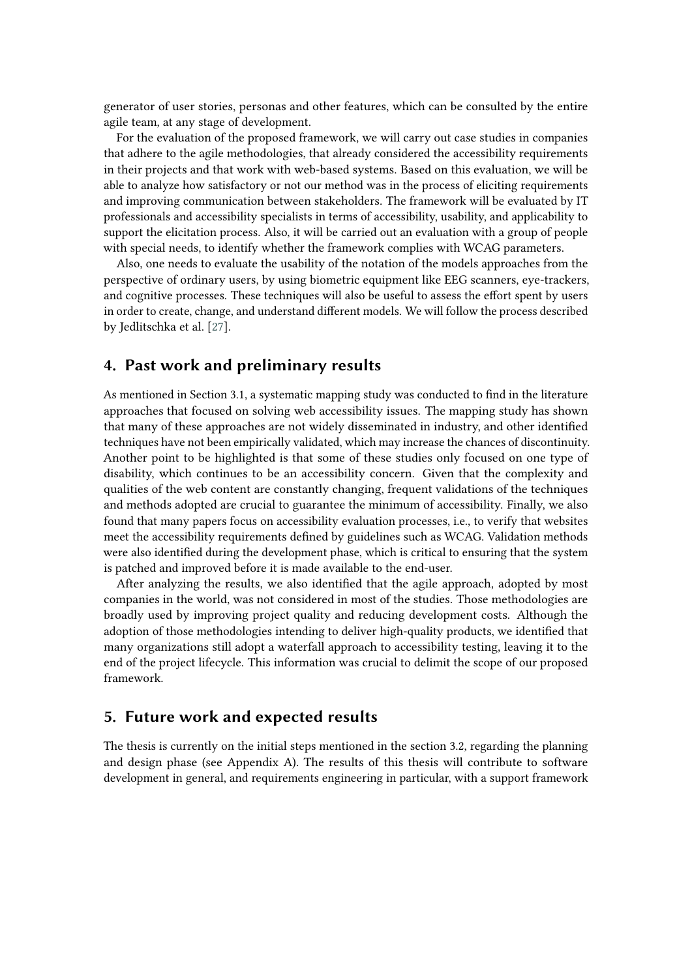generator of user stories, personas and other features, which can be consulted by the entire agile team, at any stage of development.

For the evaluation of the proposed framework, we will carry out case studies in companies that adhere to the agile methodologies, that already considered the accessibility requirements in their projects and that work with web-based systems. Based on this evaluation, we will be able to analyze how satisfactory or not our method was in the process of eliciting requirements and improving communication between stakeholders. The framework will be evaluated by IT professionals and accessibility specialists in terms of accessibility, usability, and applicability to support the elicitation process. Also, it will be carried out an evaluation with a group of people with special needs, to identify whether the framework complies with WCAG parameters.

Also, one needs to evaluate the usability of the notation of the models approaches from the perspective of ordinary users, by using biometric equipment like EEG scanners, eye-trackers, and cognitive processes. These techniques will also be useful to assess the effort spent by users in order to create, change, and understand different models. We will follow the process described by Jedlitschka et al. [\[27\]](#page-7-4).

## **4. Past work and preliminary results**

As mentioned in Section 3.1, a systematic mapping study was conducted to find in the literature approaches that focused on solving web accessibility issues. The mapping study has shown that many of these approaches are not widely disseminated in industry, and other identified techniques have not been empirically validated, which may increase the chances of discontinuity. Another point to be highlighted is that some of these studies only focused on one type of disability, which continues to be an accessibility concern. Given that the complexity and qualities of the web content are constantly changing, frequent validations of the techniques and methods adopted are crucial to guarantee the minimum of accessibility. Finally, we also found that many papers focus on accessibility evaluation processes, i.e., to verify that websites meet the accessibility requirements defined by guidelines such as WCAG. Validation methods were also identified during the development phase, which is critical to ensuring that the system is patched and improved before it is made available to the end-user.

After analyzing the results, we also identified that the agile approach, adopted by most companies in the world, was not considered in most of the studies. Those methodologies are broadly used by improving project quality and reducing development costs. Although the adoption of those methodologies intending to deliver high-quality products, we identified that many organizations still adopt a waterfall approach to accessibility testing, leaving it to the end of the project lifecycle. This information was crucial to delimit the scope of our proposed framework.

#### **5. Future work and expected results**

The thesis is currently on the initial steps mentioned in the section 3.2, regarding the planning and design phase (see Appendix A). The results of this thesis will contribute to software development in general, and requirements engineering in particular, with a support framework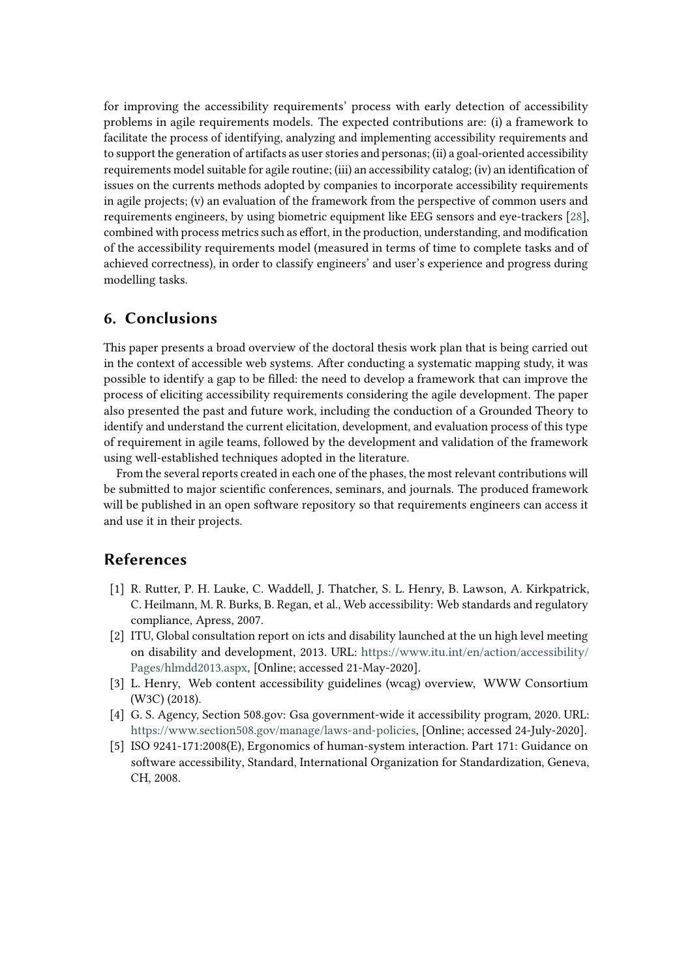for improving the accessibility requirements' process with early detection of accessibility problems in agile requirements models. The expected contributions are: (i) a framework to facilitate the process of identifying, analyzing and implementing accessibility requirements and to support the generation of artifacts as user stories and personas; (ii) a goal-oriented accessibility requirements model suitable for agile routine; (iii) an accessibility catalog; (iv) an identification of issues on the currents methods adopted by companies to incorporate accessibility requirements in agile projects; (v) an evaluation of the framework from the perspective of common users and requirements engineers, by using biometric equipment like EEG sensors and eye-trackers [\[28\]](#page-7-5), combined with process metrics such as effort, in the production, understanding, and modification of the accessibility requirements model (measured in terms of time to complete tasks and of achieved correctness), in order to classify engineers' and user's experience and progress during modelling tasks.

## **6. Conclusions**

This paper presents a broad overview of the doctoral thesis work plan that is being carried out in the context of accessible web systems. After conducting a systematic mapping study, it was possible to identify a gap to be filled: the need to develop a framework that can improve the process of eliciting accessibility requirements considering the agile development. The paper also presented the past and future work, including the conduction of a Grounded Theory to identify and understand the current elicitation, development, and evaluation process of this type of requirement in agile teams, followed by the development and validation of the framework using well-established techniques adopted in the literature.

From the several reports created in each one of the phases, the most relevant contributions will be submitted to major scientific conferences, seminars, and journals. The produced framework will be published in an open software repository so that requirements engineers can access it and use it in their projects.

### **References**

- <span id="page-5-0"></span>[1] R. Rutter, P. H. Lauke, C. Waddell, J. Thatcher, S. L. Henry, B. Lawson, A. Kirkpatrick, C. Heilmann, M. R. Burks, B. Regan, et al., Web accessibility: Web standards and regulatory compliance, Apress, 2007.
- <span id="page-5-1"></span>[2] ITU, Global consultation report on icts and disability launched at the un high level meeting on disability and development, 2013. URL: [https://www.itu.int/en/action/accessibility/](https://www.itu.int/en/action/accessibility/Pages/hlmdd2013.aspx) [Pages/hlmdd2013.aspx,](https://www.itu.int/en/action/accessibility/Pages/hlmdd2013.aspx) [Online; accessed 21-May-2020].
- <span id="page-5-2"></span>[3] L. Henry, Web content accessibility guidelines (wcag) overview, WWW Consortium (W3C) (2018).
- <span id="page-5-3"></span>[4] G. S. Agency, Section 508.gov: Gsa government-wide it accessibility program, 2020. URL: [https://www.section508.gov/manage/laws-and-policies,](https://www.section508.gov/manage/laws-and-policies) [Online; accessed 24-July-2020].
- <span id="page-5-4"></span>[5] ISO 9241-171:2008(E), Ergonomics of human-system interaction. Part 171: Guidance on software accessibility, Standard, International Organization for Standardization, Geneva, CH, 2008.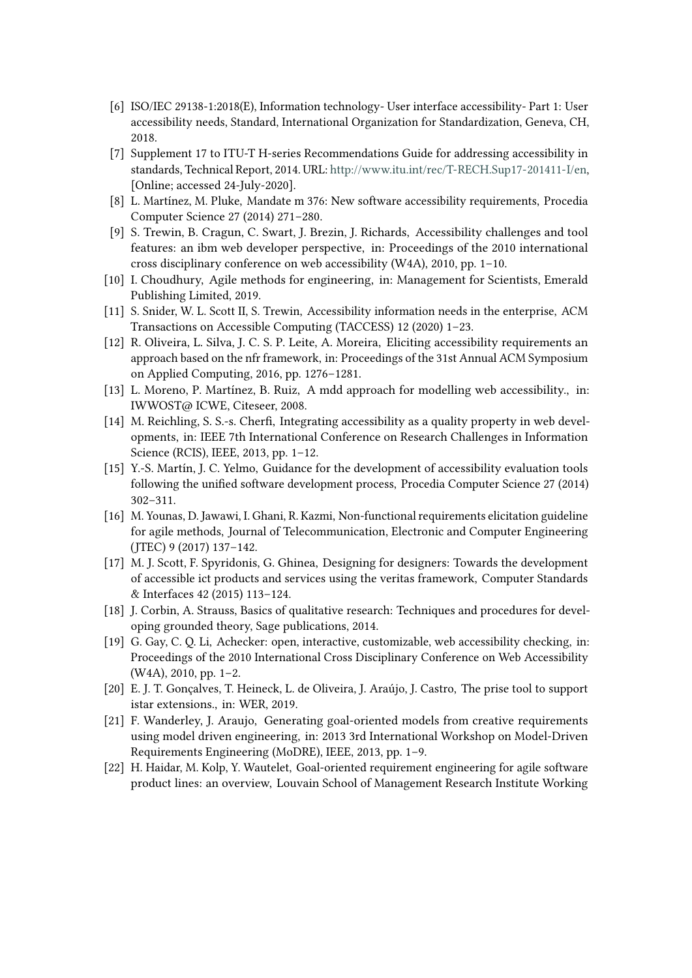- <span id="page-6-0"></span>[6] ISO/IEC 29138-1:2018(E), Information technology- User interface accessibility- Part 1: User accessibility needs, Standard, International Organization for Standardization, Geneva, CH, 2018.
- <span id="page-6-1"></span>[7] Supplement 17 to ITU-T H-series Recommendations Guide for addressing accessibility in standards, Technical Report, 2014. URL: [http://www.itu.int/rec/T-RECH.Sup17-201411-I/en,](http://www.itu.int/rec/T-RECH.Sup17-201411-I/en) [Online; accessed 24-July-2020].
- <span id="page-6-2"></span>[8] L. Martínez, M. Pluke, Mandate m 376: New software accessibility requirements, Procedia Computer Science 27 (2014) 271–280.
- <span id="page-6-3"></span>[9] S. Trewin, B. Cragun, C. Swart, J. Brezin, J. Richards, Accessibility challenges and tool features: an ibm web developer perspective, in: Proceedings of the 2010 international cross disciplinary conference on web accessibility (W4A), 2010, pp. 1–10.
- <span id="page-6-4"></span>[10] I. Choudhury, Agile methods for engineering, in: Management for Scientists, Emerald Publishing Limited, 2019.
- <span id="page-6-5"></span>[11] S. Snider, W. L. Scott II, S. Trewin, Accessibility information needs in the enterprise, ACM Transactions on Accessible Computing (TACCESS) 12 (2020) 1–23.
- <span id="page-6-6"></span>[12] R. Oliveira, L. Silva, J. C. S. P. Leite, A. Moreira, Eliciting accessibility requirements an approach based on the nfr framework, in: Proceedings of the 31st Annual ACM Symposium on Applied Computing, 2016, pp. 1276–1281.
- <span id="page-6-7"></span>[13] L. Moreno, P. Martínez, B. Ruiz, A mdd approach for modelling web accessibility., in: IWWOST@ ICWE, Citeseer, 2008.
- <span id="page-6-8"></span>[14] M. Reichling, S. S.-s. Cherfi, Integrating accessibility as a quality property in web developments, in: IEEE 7th International Conference on Research Challenges in Information Science (RCIS), IEEE, 2013, pp. 1–12.
- <span id="page-6-9"></span>[15] Y.-S. Martín, J. C. Yelmo, Guidance for the development of accessibility evaluation tools following the unified software development process, Procedia Computer Science 27 (2014) 302–311.
- <span id="page-6-10"></span>[16] M. Younas, D. Jawawi, I. Ghani, R. Kazmi, Non-functional requirements elicitation guideline for agile methods, Journal of Telecommunication, Electronic and Computer Engineering (JTEC) 9 (2017) 137–142.
- <span id="page-6-11"></span>[17] M. J. Scott, F. Spyridonis, G. Ghinea, Designing for designers: Towards the development of accessible ict products and services using the veritas framework, Computer Standards & Interfaces 42 (2015) 113–124.
- <span id="page-6-12"></span>[18] J. Corbin, A. Strauss, Basics of qualitative research: Techniques and procedures for developing grounded theory, Sage publications, 2014.
- <span id="page-6-13"></span>[19] G. Gay, C. Q. Li, Achecker: open, interactive, customizable, web accessibility checking, in: Proceedings of the 2010 International Cross Disciplinary Conference on Web Accessibility (W4A), 2010, pp. 1–2.
- <span id="page-6-14"></span>[20] E. J. T. Gonçalves, T. Heineck, L. de Oliveira, J. Araújo, J. Castro, The prise tool to support istar extensions., in: WER, 2019.
- <span id="page-6-15"></span>[21] F. Wanderley, J. Araujo, Generating goal-oriented models from creative requirements using model driven engineering, in: 2013 3rd International Workshop on Model-Driven Requirements Engineering (MoDRE), IEEE, 2013, pp. 1–9.
- <span id="page-6-16"></span>[22] H. Haidar, M. Kolp, Y. Wautelet, Goal-oriented requirement engineering for agile software product lines: an overview, Louvain School of Management Research Institute Working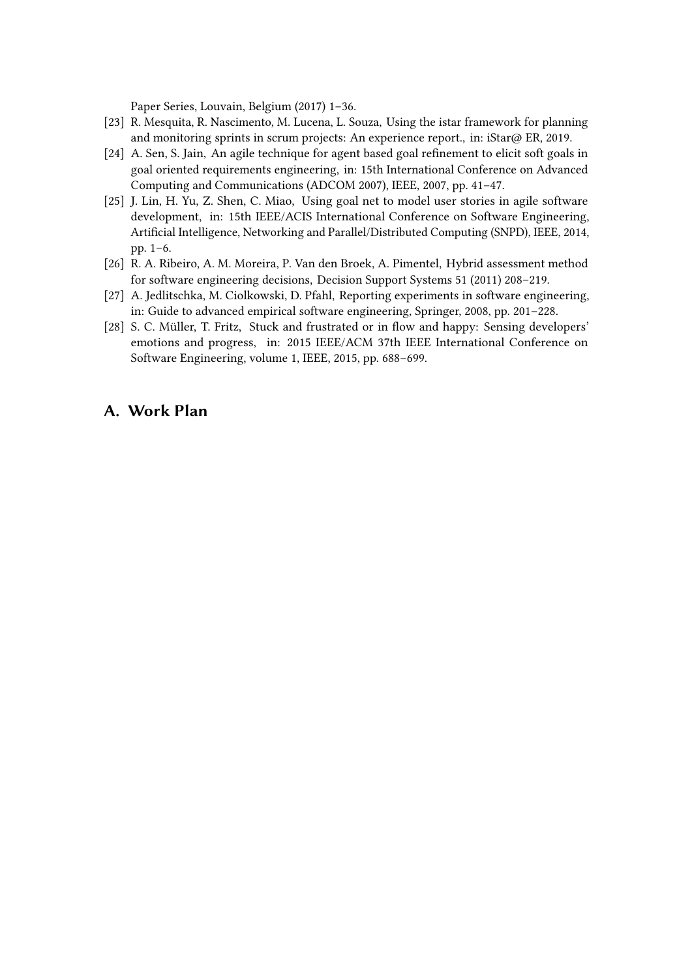Paper Series, Louvain, Belgium (2017) 1–36.

- <span id="page-7-0"></span>[23] R. Mesquita, R. Nascimento, M. Lucena, L. Souza, Using the istar framework for planning and monitoring sprints in scrum projects: An experience report., in: iStar $\omega$  ER, 2019.
- <span id="page-7-1"></span>[24] A. Sen, S. Jain, An agile technique for agent based goal refinement to elicit soft goals in goal oriented requirements engineering, in: 15th International Conference on Advanced Computing and Communications (ADCOM 2007), IEEE, 2007, pp. 41–47.
- <span id="page-7-2"></span>[25] J. Lin, H. Yu, Z. Shen, C. Miao, Using goal net to model user stories in agile software development, in: 15th IEEE/ACIS International Conference on Software Engineering, Artificial Intelligence, Networking and Parallel/Distributed Computing (SNPD), IEEE, 2014, pp. 1–6.
- <span id="page-7-3"></span>[26] R. A. Ribeiro, A. M. Moreira, P. Van den Broek, A. Pimentel, Hybrid assessment method for software engineering decisions, Decision Support Systems 51 (2011) 208–219.
- <span id="page-7-4"></span>[27] A. Jedlitschka, M. Ciolkowski, D. Pfahl, Reporting experiments in software engineering, in: Guide to advanced empirical software engineering, Springer, 2008, pp. 201–228.
- <span id="page-7-5"></span>[28] S. C. Müller, T. Fritz, Stuck and frustrated or in flow and happy: Sensing developers' emotions and progress, in: 2015 IEEE/ACM 37th IEEE International Conference on Software Engineering, volume 1, IEEE, 2015, pp. 688–699.

### **A. Work Plan**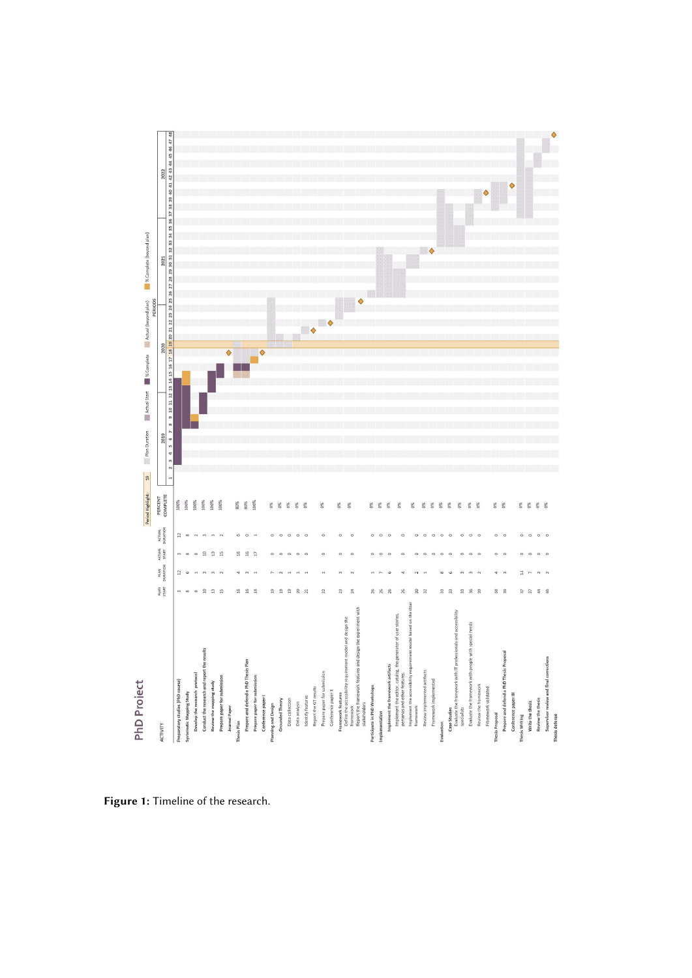

**Figure 1:** Timeline of the research.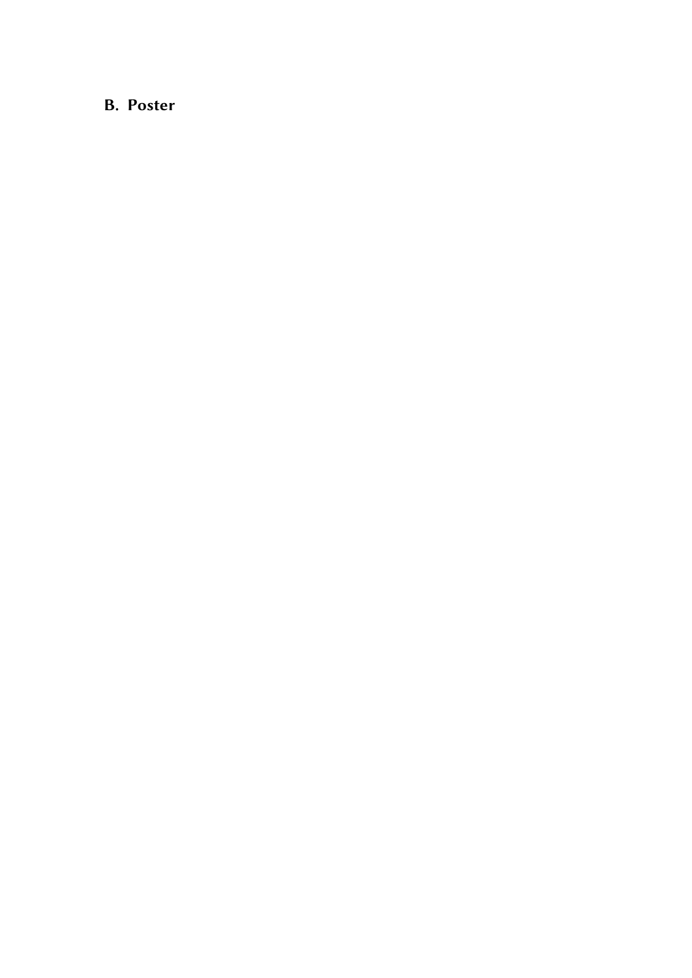## **B. Poster**